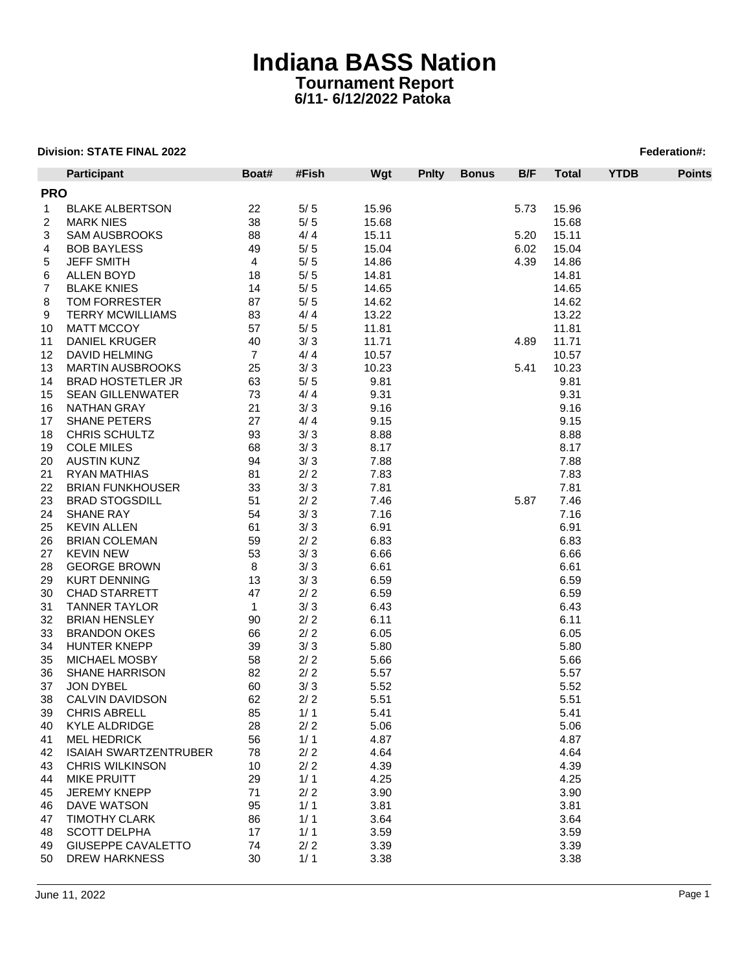|        | <b>Participant</b>                                     | Boat#          | #Fish | Wgt   | <b>Pnity</b> | <b>Bonus</b> | B/F  | <b>Total</b> | <b>YTDB</b> | <b>Points</b> |  |
|--------|--------------------------------------------------------|----------------|-------|-------|--------------|--------------|------|--------------|-------------|---------------|--|
|        | <b>PRO</b>                                             |                |       |       |              |              |      |              |             |               |  |
| 1      | <b>BLAKE ALBERTSON</b>                                 | 22             | $5/5$ | 15.96 |              |              | 5.73 | 15.96        |             |               |  |
| 2      | <b>MARK NIES</b>                                       | 38             | $5/5$ | 15.68 |              |              |      | 15.68        |             |               |  |
| 3      | <b>SAM AUSBROOKS</b>                                   | 88             | 4/4   | 15.11 |              |              | 5.20 | 15.11        |             |               |  |
| 4      | <b>BOB BAYLESS</b>                                     | 49             | 5/5   | 15.04 |              |              | 6.02 | 15.04        |             |               |  |
| 5      | <b>JEFF SMITH</b>                                      | 4              | $5/5$ | 14.86 |              |              | 4.39 | 14.86        |             |               |  |
| 6      | ALLEN BOYD                                             | 18             | $5/5$ | 14.81 |              |              |      | 14.81        |             |               |  |
| 7      | <b>BLAKE KNIES</b>                                     | 14             | $5/5$ | 14.65 |              |              |      | 14.65        |             |               |  |
|        | TOM FORRESTER                                          | 87             | $5/5$ | 14.62 |              |              |      | 14.62        |             |               |  |
| 8      | <b>TERRY MCWILLIAMS</b>                                |                | 4/4   |       |              |              |      |              |             |               |  |
| 9      |                                                        | 83             |       | 13.22 |              |              |      | 13.22        |             |               |  |
| 10     | <b>MATT MCCOY</b>                                      | 57             | $5/5$ | 11.81 |              |              |      | 11.81        |             |               |  |
| 11     | <b>DANIEL KRUGER</b>                                   | 40             | 3/3   | 11.71 |              |              | 4.89 | 11.71        |             |               |  |
| 12     | DAVID HELMING                                          | $\overline{7}$ | 4/4   | 10.57 |              |              |      | 10.57        |             |               |  |
| 13     | <b>MARTIN AUSBROOKS</b>                                | 25             | 3/3   | 10.23 |              |              | 5.41 | 10.23        |             |               |  |
| 14     | <b>BRAD HOSTETLER JR</b>                               | 63             | $5/5$ | 9.81  |              |              |      | 9.81         |             |               |  |
| 15     | <b>SEAN GILLENWATER</b>                                | 73             | 4/4   | 9.31  |              |              |      | 9.31         |             |               |  |
| 16     | NATHAN GRAY                                            | 21             | 3/3   | 9.16  |              |              |      | 9.16         |             |               |  |
| 17     | <b>SHANE PETERS</b>                                    | 27             | 4/4   | 9.15  |              |              |      | 9.15         |             |               |  |
| 18     | CHRIS SCHULTZ                                          | 93             | 3/3   | 8.88  |              |              |      | 8.88         |             |               |  |
| 19     | <b>COLE MILES</b>                                      | 68             | 3/3   | 8.17  |              |              |      | 8.17         |             |               |  |
| 20     | <b>AUSTIN KUNZ</b>                                     | 94             | 3/3   | 7.88  |              |              |      | 7.88         |             |               |  |
| 21     | <b>RYAN MATHIAS</b>                                    | 81             | 2/2   | 7.83  |              |              |      | 7.83         |             |               |  |
| 22     | <b>BRIAN FUNKHOUSER</b>                                | 33             | 3/3   | 7.81  |              |              |      | 7.81         |             |               |  |
| 23     | <b>BRAD STOGSDILL</b>                                  | 51             | 2/2   | 7.46  |              |              | 5.87 | 7.46         |             |               |  |
| 24     | <b>SHANE RAY</b>                                       | 54             | 3/3   | 7.16  |              |              |      | 7.16         |             |               |  |
| 25     | <b>KEVIN ALLEN</b>                                     | 61             | 3/3   | 6.91  |              |              |      | 6.91         |             |               |  |
| 26     | <b>BRIAN COLEMAN</b>                                   | 59             | 2/2   | 6.83  |              |              |      | 6.83         |             |               |  |
| 27     | <b>KEVIN NEW</b>                                       | 53             | 3/3   | 6.66  |              |              |      | 6.66         |             |               |  |
| 28     | <b>GEORGE BROWN</b>                                    | 8              | 3/3   | 6.61  |              |              |      | 6.61         |             |               |  |
| 29     | <b>KURT DENNING</b>                                    | 13             | 3/3   | 6.59  |              |              |      | 6.59         |             |               |  |
| $30\,$ | <b>CHAD STARRETT</b>                                   | 47             | 2/2   | 6.59  |              |              |      | 6.59         |             |               |  |
| 31     | <b>TANNER TAYLOR</b>                                   | $\mathbf{1}$   | 3/3   | 6.43  |              |              |      | 6.43         |             |               |  |
| 32     | <b>BRIAN HENSLEY</b>                                   | 90             | 2/2   | 6.11  |              |              |      | 6.11         |             |               |  |
| 33     | <b>BRANDON OKES</b>                                    | 66             | 2/2   | 6.05  |              |              |      | 6.05         |             |               |  |
| 34     | <b>HUNTER KNEPP</b>                                    | 39             | 3/3   | 5.80  |              |              |      | 5.80         |             |               |  |
| 35     | MICHAEL MOSBY                                          | 58             | 2/2   | 5.66  |              |              |      | 5.66         |             |               |  |
| 36     | <b>SHANE HARRISON</b>                                  | 82             | 2/2   | 5.57  |              |              |      | 5.57         |             |               |  |
| 37     | JON DYBEL                                              | 60             | 3/3   | 5.52  |              |              |      | 5.52         |             |               |  |
| 38     | <b>CALVIN DAVIDSON</b>                                 | 62             | 2/2   | 5.51  |              |              |      | 5.51         |             |               |  |
| 39     | <b>CHRIS ABRELL</b>                                    | 85             | 1/1   | 5.41  |              |              |      | 5.41         |             |               |  |
| 40     | KYLE ALDRIDGE                                          | 28             | 2/2   | 5.06  |              |              |      | 5.06         |             |               |  |
| 41     | <b>MEL HEDRICK</b>                                     | 56             | 1/1   | 4.87  |              |              |      | 4.87         |             |               |  |
|        |                                                        |                |       |       |              |              |      |              |             |               |  |
| 42     | <b>ISAIAH SWARTZENTRUBER</b><br><b>CHRIS WILKINSON</b> | 78             | 2/2   | 4.64  |              |              |      | 4.64         |             |               |  |
| 43     |                                                        | 10             | 2/2   | 4.39  |              |              |      | 4.39         |             |               |  |
| 44     | <b>MIKE PRUITT</b>                                     | 29             | 1/1   | 4.25  |              |              |      | 4.25         |             |               |  |
| 45     | <b>JEREMY KNEPP</b>                                    | 71             | 2/2   | 3.90  |              |              |      | 3.90         |             |               |  |
| 46     | DAVE WATSON                                            | 95             | 1/1   | 3.81  |              |              |      | 3.81         |             |               |  |
| 47     | <b>TIMOTHY CLARK</b>                                   | 86             | 1/1   | 3.64  |              |              |      | 3.64         |             |               |  |
| 48     | <b>SCOTT DELPHA</b>                                    | 17             | 1/1   | 3.59  |              |              |      | 3.59         |             |               |  |
| 49     | <b>GIUSEPPE CAVALETTO</b>                              | 74             | 2/2   | 3.39  |              |              |      | 3.39         |             |               |  |
| 50     | <b>DREW HARKNESS</b>                                   | 30             | 1/1   | 3.38  |              |              |      | 3.38         |             |               |  |
|        |                                                        |                |       |       |              |              |      |              |             |               |  |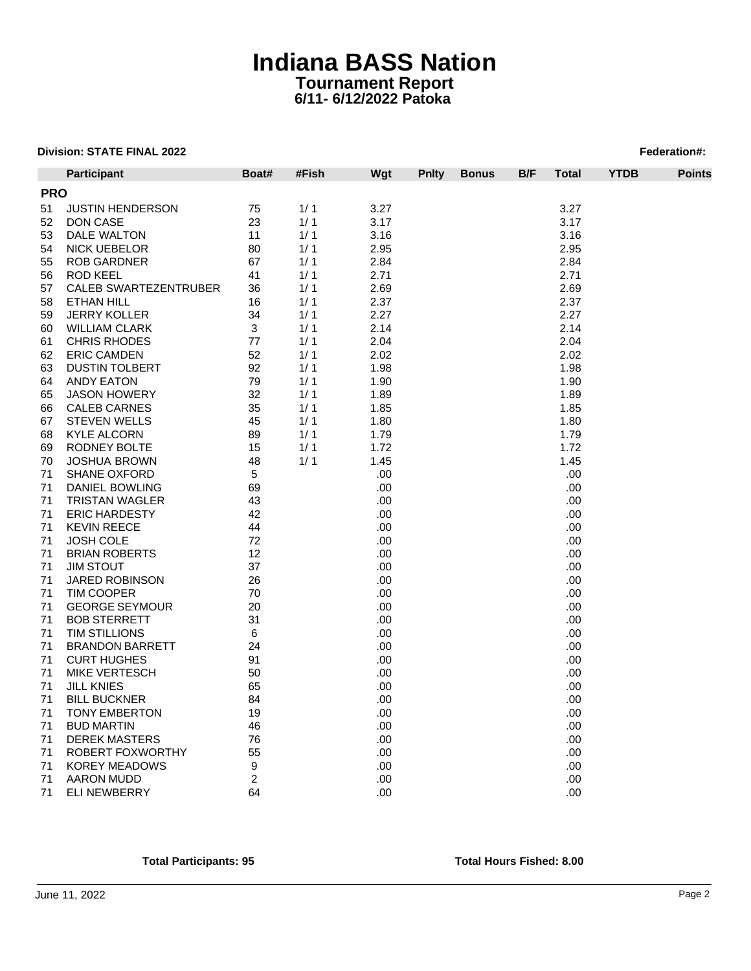|            | Participant             | Boat#        | #Fish | Wgt  | <b>Pnity</b> | <b>Bonus</b> | B/F | Total | <b>YTDB</b> | <b>Points</b> |
|------------|-------------------------|--------------|-------|------|--------------|--------------|-----|-------|-------------|---------------|
| <b>PRO</b> |                         |              |       |      |              |              |     |       |             |               |
| 51         | <b>JUSTIN HENDERSON</b> | 75           | 1/1   | 3.27 |              |              |     | 3.27  |             |               |
| 52         | DON CASE                | 23           | 1/1   | 3.17 |              |              |     | 3.17  |             |               |
| 53         | DALE WALTON             | 11           | 1/1   | 3.16 |              |              |     | 3.16  |             |               |
| 54         | <b>NICK UEBELOR</b>     | 80           | 1/1   | 2.95 |              |              |     | 2.95  |             |               |
| 55         | <b>ROB GARDNER</b>      | 67           | 1/1   | 2.84 |              |              |     | 2.84  |             |               |
| 56         | <b>ROD KEEL</b>         | 41           | 1/1   | 2.71 |              |              |     | 2.71  |             |               |
| 57         | CALEB SWARTEZENTRUBER   | 36           | 1/1   | 2.69 |              |              |     | 2.69  |             |               |
| 58         | ETHAN HILL              | 16           | 1/1   | 2.37 |              |              |     | 2.37  |             |               |
| 59         | <b>JERRY KOLLER</b>     | 34           | 1/1   | 2.27 |              |              |     | 2.27  |             |               |
| 60         | <b>WILLIAM CLARK</b>    | $\mathbf{3}$ | 1/1   | 2.14 |              |              |     | 2.14  |             |               |
| 61         | <b>CHRIS RHODES</b>     | 77           | 1/1   | 2.04 |              |              |     | 2.04  |             |               |
| 62         | <b>ERIC CAMDEN</b>      | 52           | 1/1   | 2.02 |              |              |     | 2.02  |             |               |
| 63         | <b>DUSTIN TOLBERT</b>   | 92           | 1/1   | 1.98 |              |              |     | 1.98  |             |               |
| 64         | <b>ANDY EATON</b>       | 79           | 1/1   | 1.90 |              |              |     | 1.90  |             |               |
| 65         | <b>JASON HOWERY</b>     | 32           | 1/1   | 1.89 |              |              |     | 1.89  |             |               |
| 66         | <b>CALEB CARNES</b>     | 35           | 1/1   | 1.85 |              |              |     | 1.85  |             |               |
| 67         | <b>STEVEN WELLS</b>     | 45           | 1/1   | 1.80 |              |              |     | 1.80  |             |               |
| 68         | <b>KYLE ALCORN</b>      | 89           | 1/1   | 1.79 |              |              |     | 1.79  |             |               |
| 69         | RODNEY BOLTE            | 15           | 1/1   | 1.72 |              |              |     | 1.72  |             |               |
| 70         | <b>JOSHUA BROWN</b>     | 48           | 1/1   | 1.45 |              |              |     | 1.45  |             |               |
| 71         | <b>SHANE OXFORD</b>     | 5            |       | .00  |              |              |     | .00   |             |               |
| 71         | DANIEL BOWLING          | 69           |       | .00  |              |              |     | .00   |             |               |
| 71         | <b>TRISTAN WAGLER</b>   | 43           |       | .00  |              |              |     | .00   |             |               |
| 71         | <b>ERIC HARDESTY</b>    | 42           |       | .00  |              |              |     | .00   |             |               |
| 71         | <b>KEVIN REECE</b>      | 44           |       | .00  |              |              |     | .00   |             |               |
|            |                         |              |       |      |              |              |     |       |             |               |
| 71         | <b>JOSH COLE</b>        | 72           |       | .00  |              |              |     | .00.  |             |               |
| 71         | <b>BRIAN ROBERTS</b>    | 12           |       | .00. |              |              |     | .00   |             |               |
| 71         | <b>JIM STOUT</b>        | 37           |       | .00  |              |              |     | .00   |             |               |
| 71         | <b>JARED ROBINSON</b>   | 26           |       | .00  |              |              |     | .00   |             |               |
| 71         | <b>TIM COOPER</b>       | 70           |       | .00  |              |              |     | .00   |             |               |
| 71         | <b>GEORGE SEYMOUR</b>   | 20           |       | .00  |              |              |     | .00   |             |               |
| 71         | <b>BOB STERRETT</b>     | 31           |       | .00  |              |              |     | .00   |             |               |
| 71         | <b>TIM STILLIONS</b>    | 6            |       | .00  |              |              |     | .00   |             |               |
| 71         | <b>BRANDON BARRETT</b>  | 24           |       | .00  |              |              |     | .00   |             |               |
| 71         | <b>CURT HUGHES</b>      | 91           |       | .00. |              |              |     | .00.  |             |               |
| 71         | <b>MIKE VERTESCH</b>    | 50           |       | .00. |              |              |     | .00   |             |               |
| 71         | <b>JILL KNIES</b>       | 65           |       | .00  |              |              |     | .00.  |             |               |
| 71         | <b>BILL BUCKNER</b>     | 84           |       | .00  |              |              |     | .00   |             |               |
| 71         | <b>TONY EMBERTON</b>    | 19           |       | .00  |              |              |     | .00   |             |               |
| 71         | <b>BUD MARTIN</b>       | 46           |       | .00  |              |              |     | .00   |             |               |
| 71         | <b>DEREK MASTERS</b>    | 76           |       | .00  |              |              |     | .00   |             |               |
| 71         | ROBERT FOXWORTHY        | 55           |       | .00  |              |              |     | .00   |             |               |
| 71         | <b>KOREY MEADOWS</b>    | 9            |       | .00  |              |              |     | .00   |             |               |
| 71         | <b>AARON MUDD</b>       | 2            |       | .00  |              |              |     | .00   |             |               |
| 71         | <b>ELI NEWBERRY</b>     | 64           |       | .00  |              |              |     | .00.  |             |               |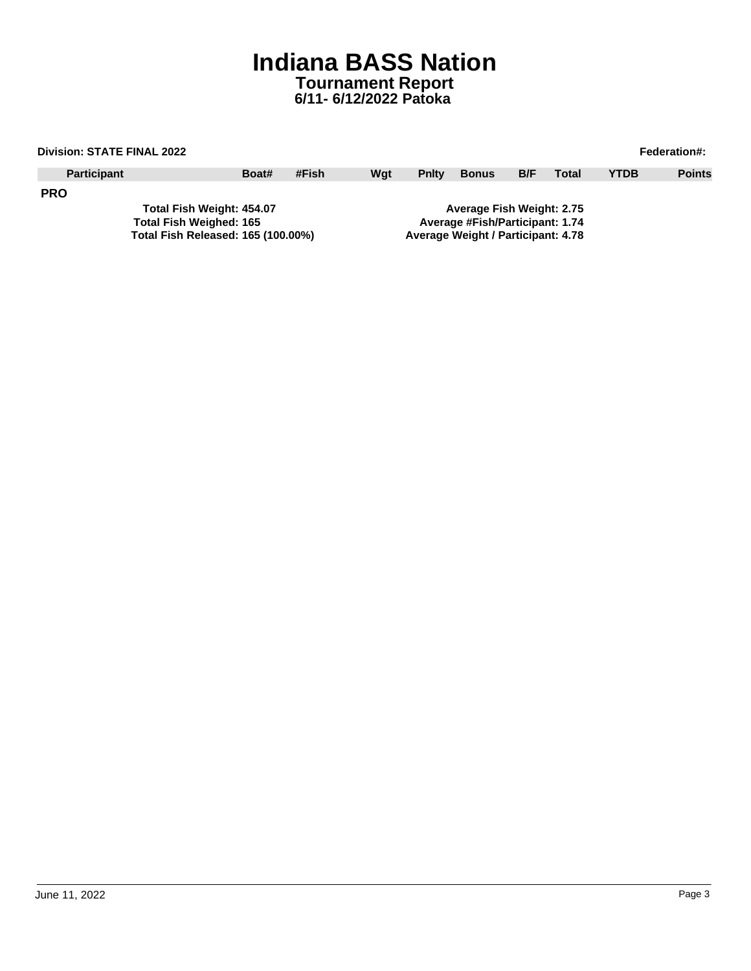| <b>Division: STATE FINAL 2022</b><br><b>Federation#:</b> |                                |       |       |     |                           |                                    |     |              |             |               |  |
|----------------------------------------------------------|--------------------------------|-------|-------|-----|---------------------------|------------------------------------|-----|--------------|-------------|---------------|--|
| <b>Participant</b>                                       |                                | Boat# | #Fish | Wat | <b>Pnity</b>              | <b>Bonus</b>                       | B/F | <b>Total</b> | <b>YTDB</b> | <b>Points</b> |  |
| <b>PRO</b>                                               |                                |       |       |     |                           |                                    |     |              |             |               |  |
| Total Fish Weight: 454.07                                |                                |       |       |     | Average Fish Weight: 2.75 |                                    |     |              |             |               |  |
|                                                          | <b>Total Fish Weighed: 165</b> |       |       |     |                           | Average #Fish/Participant: 1.74    |     |              |             |               |  |
| Total Fish Released: 165 (100.00%)                       |                                |       |       |     |                           | Average Weight / Participant: 4.78 |     |              |             |               |  |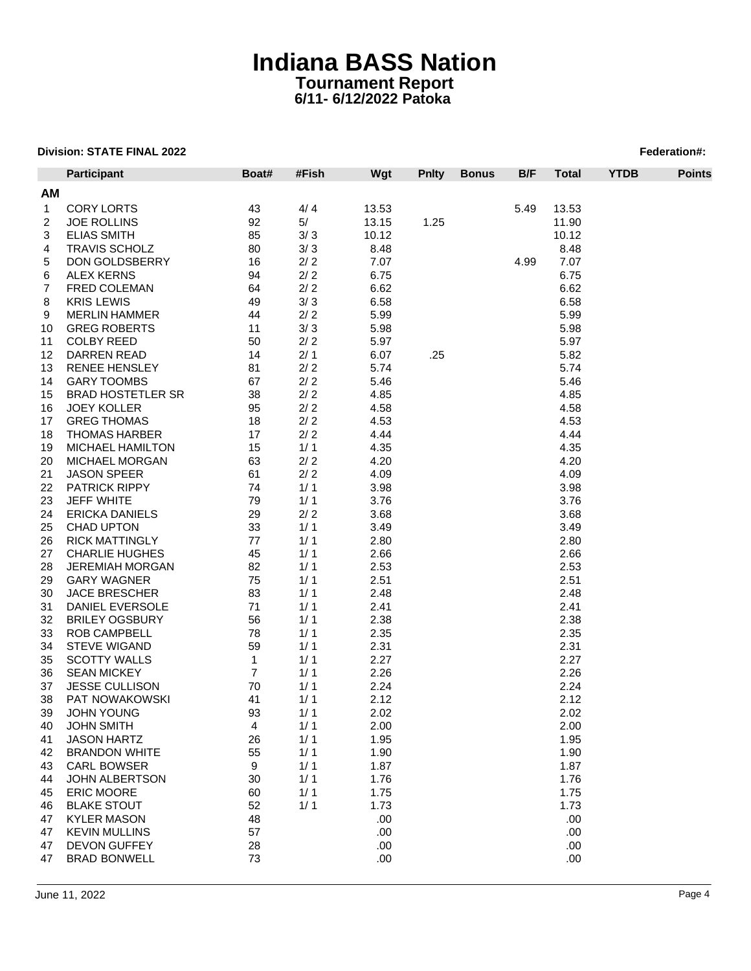|     | <b>Participant</b>       | Boat#          | #Fish | Wgt   | <b>Pnity</b> | <b>Bonus</b> | B/F  | <b>Total</b> | <b>YTDB</b> | <b>Points</b> |
|-----|--------------------------|----------------|-------|-------|--------------|--------------|------|--------------|-------------|---------------|
| AM. |                          |                |       |       |              |              |      |              |             |               |
| 1   | <b>CORY LORTS</b>        | 43             | 4/4   | 13.53 |              |              | 5.49 | 13.53        |             |               |
| 2   | <b>JOE ROLLINS</b>       | 92             | 5/    | 13.15 | 1.25         |              |      | 11.90        |             |               |
| 3   | <b>ELIAS SMITH</b>       | 85             | 3/3   | 10.12 |              |              |      | 10.12        |             |               |
| 4   | <b>TRAVIS SCHOLZ</b>     | 80             | 3/3   | 8.48  |              |              |      | 8.48         |             |               |
| 5   | DON GOLDSBERRY           | 16             | 2/2   | 7.07  |              |              | 4.99 | 7.07         |             |               |
| 6   | <b>ALEX KERNS</b>        | 94             | $2/2$ | 6.75  |              |              |      | 6.75         |             |               |
| 7   | FRED COLEMAN             | 64             | 2/2   | 6.62  |              |              |      | 6.62         |             |               |
| 8   | <b>KRIS LEWIS</b>        | 49             | 3/3   | 6.58  |              |              |      | 6.58         |             |               |
| 9   | <b>MERLIN HAMMER</b>     | 44             | 2/2   | 5.99  |              |              |      | 5.99         |             |               |
| 10  | <b>GREG ROBERTS</b>      | 11             | 3/3   | 5.98  |              |              |      | 5.98         |             |               |
| 11  | <b>COLBY REED</b>        | 50             | 2/2   | 5.97  |              |              |      | 5.97         |             |               |
| 12  | DARREN READ              | 14             | 2/1   | 6.07  | .25          |              |      | 5.82         |             |               |
| 13  | <b>RENEE HENSLEY</b>     | 81             | 2/2   | 5.74  |              |              |      | 5.74         |             |               |
| 14  | <b>GARY TOOMBS</b>       | 67             | 2/2   | 5.46  |              |              |      | 5.46         |             |               |
| 15  | <b>BRAD HOSTETLER SR</b> | 38             | 2/2   | 4.85  |              |              |      | 4.85         |             |               |
| 16  | <b>JOEY KOLLER</b>       | 95             | 2/2   | 4.58  |              |              |      | 4.58         |             |               |
| 17  | <b>GREG THOMAS</b>       | 18             | 2/2   | 4.53  |              |              |      | 4.53         |             |               |
| 18  | <b>THOMAS HARBER</b>     | 17             | 2/2   | 4.44  |              |              |      | 4.44         |             |               |
| 19  | MICHAEL HAMILTON         | 15             | 1/1   | 4.35  |              |              |      | 4.35         |             |               |
| 20  | MICHAEL MORGAN           | 63             | 2/2   | 4.20  |              |              |      | 4.20         |             |               |
| 21  | <b>JASON SPEER</b>       | 61             | 2/2   | 4.09  |              |              |      | 4.09         |             |               |
| 22  | <b>PATRICK RIPPY</b>     | 74             | 1/1   | 3.98  |              |              |      | 3.98         |             |               |
| 23  | JEFF WHITE               | 79             | 1/1   | 3.76  |              |              |      | 3.76         |             |               |
| 24  | <b>ERICKA DANIELS</b>    | 29             | 2/2   | 3.68  |              |              |      | 3.68         |             |               |
| 25  | <b>CHAD UPTON</b>        | 33             | 1/1   | 3.49  |              |              |      | 3.49         |             |               |
| 26  | <b>RICK MATTINGLY</b>    | 77             | 1/1   | 2.80  |              |              |      | 2.80         |             |               |
| 27  | <b>CHARLIE HUGHES</b>    | 45             | 1/1   | 2.66  |              |              |      | 2.66         |             |               |
| 28  | <b>JEREMIAH MORGAN</b>   | 82             | 1/1   | 2.53  |              |              |      | 2.53         |             |               |
| 29  | <b>GARY WAGNER</b>       | 75             | 1/1   | 2.51  |              |              |      | 2.51         |             |               |
| 30  | <b>JACE BRESCHER</b>     | 83             | 1/1   | 2.48  |              |              |      | 2.48         |             |               |
| 31  | DANIEL EVERSOLE          | 71             | 1/1   | 2.41  |              |              |      | 2.41         |             |               |
| 32  | <b>BRILEY OGSBURY</b>    | 56             | 1/1   | 2.38  |              |              |      | 2.38         |             |               |
| 33  | <b>ROB CAMPBELL</b>      | 78             | 1/1   | 2.35  |              |              |      | 2.35         |             |               |
| 34  | <b>STEVE WIGAND</b>      | 59             | 1/1   | 2.31  |              |              |      | 2.31         |             |               |
| 35  | <b>SCOTTY WALLS</b>      | $\mathbf{1}$   | 1/1   | 2.27  |              |              |      | 2.27         |             |               |
| 36  | <b>SEAN MICKEY</b>       | $\overline{7}$ | 1/1   | 2.26  |              |              |      | 2.26         |             |               |
| 37  | JESSE CULLISON           | 70             | 1/1   | 2.24  |              |              |      | 2.24         |             |               |
| 38  | <b>PAT NOWAKOWSKI</b>    | 41             | 1/1   | 2.12  |              |              |      | 2.12         |             |               |
| 39  | <b>JOHN YOUNG</b>        | 93             | 1/1   | 2.02  |              |              |      | 2.02         |             |               |
| 40  | <b>JOHN SMITH</b>        | 4              | 1/1   | 2.00  |              |              |      | 2.00         |             |               |
| 41  | <b>JASON HARTZ</b>       | 26             | 1/1   | 1.95  |              |              |      | 1.95         |             |               |
| 42  | <b>BRANDON WHITE</b>     | 55             | 1/1   | 1.90  |              |              |      | 1.90         |             |               |
| 43  | <b>CARL BOWSER</b>       | 9              | 1/1   | 1.87  |              |              |      | 1.87         |             |               |
| 44  | JOHN ALBERTSON           | 30             | 1/1   | 1.76  |              |              |      | 1.76         |             |               |
| 45  | <b>ERIC MOORE</b>        | 60             | 1/1   | 1.75  |              |              |      | 1.75         |             |               |
| 46  | <b>BLAKE STOUT</b>       | 52             | 1/1   | 1.73  |              |              |      | 1.73         |             |               |
| 47  | <b>KYLER MASON</b>       | 48             |       | .00   |              |              |      | .00          |             |               |
| 47  | <b>KEVIN MULLINS</b>     | 57             |       | .00   |              |              |      | .00          |             |               |
| 47  | <b>DEVON GUFFEY</b>      | 28             |       | .00   |              |              |      | .00          |             |               |
| 47  | <b>BRAD BONWELL</b>      | 73             |       | .00.  |              |              |      | .00          |             |               |
|     |                          |                |       |       |              |              |      |              |             |               |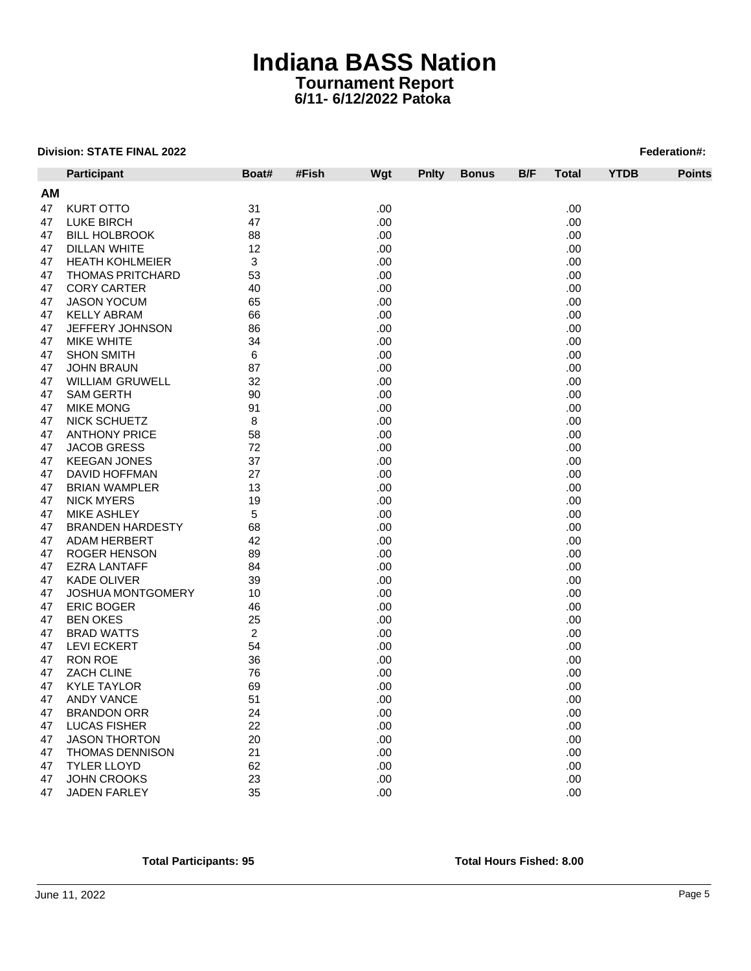|    | Participant                          | Boat#          | #Fish<br>Wgt | <b>Pnity</b> | <b>Bonus</b> | B/F | Total | <b>YTDB</b> | <b>Points</b> |
|----|--------------------------------------|----------------|--------------|--------------|--------------|-----|-------|-------------|---------------|
| АM |                                      |                |              |              |              |     |       |             |               |
| 47 | <b>KURT OTTO</b>                     | 31             | .00          |              |              |     | .00   |             |               |
| 47 | LUKE BIRCH                           | 47             | .00          |              |              |     | .00   |             |               |
| 47 | <b>BILL HOLBROOK</b>                 | 88             | .00          |              |              |     | .00   |             |               |
| 47 | DILLAN WHITE                         | 12             | .00          |              |              |     | .00   |             |               |
| 47 | <b>HEATH KOHLMEIER</b>               | 3              | .00          |              |              |     | .00.  |             |               |
| 47 | <b>THOMAS PRITCHARD</b>              | 53             | .00          |              |              |     | .00.  |             |               |
| 47 | <b>CORY CARTER</b>                   | 40             | .00          |              |              |     | .00   |             |               |
| 47 | <b>JASON YOCUM</b>                   | 65             | .00          |              |              |     | .00.  |             |               |
| 47 | <b>KELLY ABRAM</b>                   | 66             | .00          |              |              |     | .00   |             |               |
| 47 | JEFFERY JOHNSON                      | 86             | .00          |              |              |     | .00   |             |               |
| 47 | <b>MIKE WHITE</b>                    | 34             | .00          |              |              |     | .00   |             |               |
| 47 | <b>SHON SMITH</b>                    | 6              | .00          |              |              |     | .00   |             |               |
| 47 | <b>JOHN BRAUN</b>                    | 87             | .00          |              |              |     | .00   |             |               |
| 47 | <b>WILLIAM GRUWELL</b>               | 32             | .00          |              |              |     | .00   |             |               |
| 47 |                                      | 90             | .00          |              |              |     | .00   |             |               |
| 47 | <b>SAM GERTH</b><br><b>MIKE MONG</b> | 91             | .00          |              |              |     | .00.  |             |               |
| 47 | <b>NICK SCHUETZ</b>                  | 8              | .00          |              |              |     | .00   |             |               |
| 47 | <b>ANTHONY PRICE</b>                 | 58             | .00          |              |              |     | .00   |             |               |
| 47 | JACOB GRESS                          | 72             | .00          |              |              |     | .00   |             |               |
| 47 | <b>KEEGAN JONES</b>                  | 37             | .00          |              |              |     | .00   |             |               |
| 47 |                                      | 27             |              |              |              |     |       |             |               |
|    | DAVID HOFFMAN                        |                | .00          |              |              |     | .00   |             |               |
| 47 | <b>BRIAN WAMPLER</b>                 | 13             | .00          |              |              |     | .00   |             |               |
| 47 | <b>NICK MYERS</b>                    | 19             | .00          |              |              |     | .00   |             |               |
| 47 | MIKE ASHLEY                          | 5              | .00          |              |              |     | .00   |             |               |
| 47 | <b>BRANDEN HARDESTY</b>              | 68             | .00          |              |              |     | .00   |             |               |
| 47 | <b>ADAM HERBERT</b>                  | 42             | .00          |              |              |     | .00   |             |               |
| 47 | ROGER HENSON                         | 89             | .00          |              |              |     | .00   |             |               |
| 47 | <b>EZRA LANTAFF</b>                  | 84             | .00          |              |              |     | .00   |             |               |
| 47 | <b>KADE OLIVER</b>                   | 39             | .00          |              |              |     | .00   |             |               |
| 47 | <b>JOSHUA MONTGOMERY</b>             | 10             | .00          |              |              |     | .00   |             |               |
| 47 | ERIC BOGER                           | 46             | .00          |              |              |     | .00   |             |               |
| 47 | <b>BEN OKES</b>                      | 25             | .00          |              |              |     | .00   |             |               |
| 47 | <b>BRAD WATTS</b>                    | $\overline{c}$ | .00          |              |              |     | .00   |             |               |
| 47 | <b>LEVI ECKERT</b>                   | 54             | .00          |              |              |     | .00   |             |               |
| 47 | RON ROE                              | 36             | .00          |              |              |     | .00   |             |               |
| 47 | <b>ZACH CLINE</b>                    | 76             | .00          |              |              |     | .00   |             |               |
| 47 | KYLE TAYLOR                          | 69             | .00          |              |              |     | .00   |             |               |
| 47 | <b>ANDY VANCE</b>                    | 51             | .00          |              |              |     | .00   |             |               |
| 47 | <b>BRANDON ORR</b>                   | 24             | .00          |              |              |     | .00   |             |               |
| 47 | LUCAS FISHER                         | 22             | .00          |              |              |     | .00   |             |               |
| 47 | <b>JASON THORTON</b>                 | 20             | .00          |              |              |     | .00   |             |               |
| 47 | <b>THOMAS DENNISON</b>               | 21             | .00          |              |              |     | .00   |             |               |
| 47 | <b>TYLER LLOYD</b>                   | 62             | .00          |              |              |     | .00   |             |               |
| 47 | JOHN CROOKS                          | 23             | .00          |              |              |     | .00   |             |               |
| 47 | <b>JADEN FARLEY</b>                  | 35             | .00          |              |              |     | .00   |             |               |